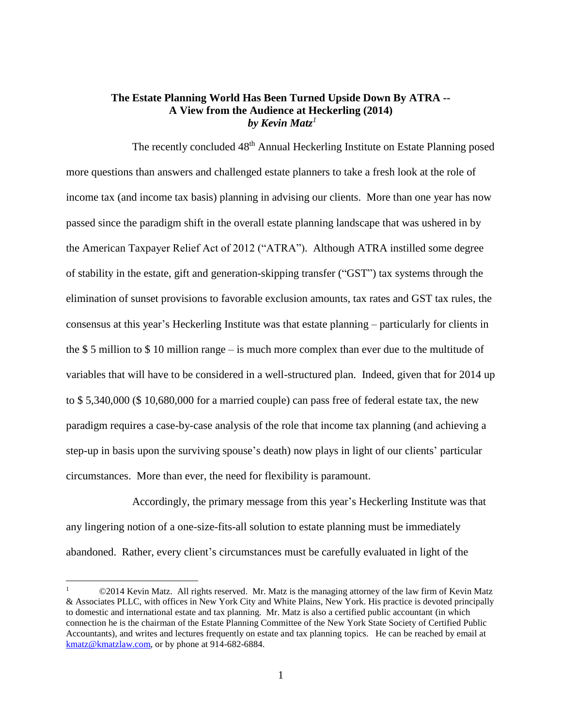# **The Estate Planning World Has Been Turned Upside Down By ATRA -- A View from the Audience at Heckerling (2014)** *by Kevin Matz<sup>1</sup>*

The recently concluded 48<sup>th</sup> Annual Heckerling Institute on Estate Planning posed more questions than answers and challenged estate planners to take a fresh look at the role of income tax (and income tax basis) planning in advising our clients. More than one year has now passed since the paradigm shift in the overall estate planning landscape that was ushered in by the American Taxpayer Relief Act of 2012 ("ATRA"). Although ATRA instilled some degree of stability in the estate, gift and generation-skipping transfer ("GST") tax systems through the elimination of sunset provisions to favorable exclusion amounts, tax rates and GST tax rules, the consensus at this year's Heckerling Institute was that estate planning – particularly for clients in the \$ 5 million to \$ 10 million range – is much more complex than ever due to the multitude of variables that will have to be considered in a well-structured plan. Indeed, given that for 2014 up to \$ 5,340,000 (\$ 10,680,000 for a married couple) can pass free of federal estate tax, the new paradigm requires a case-by-case analysis of the role that income tax planning (and achieving a step-up in basis upon the surviving spouse's death) now plays in light of our clients' particular circumstances. More than ever, the need for flexibility is paramount.

Accordingly, the primary message from this year's Heckerling Institute was that any lingering notion of a one-size-fits-all solution to estate planning must be immediately abandoned. Rather, every client's circumstances must be carefully evaluated in light of the

 $\overline{a}$ 

<sup>1</sup> ©2014 Kevin Matz. All rights reserved. Mr. Matz is the managing attorney of the law firm of Kevin Matz & Associates PLLC, with offices in New York City and White Plains, New York. His practice is devoted principally to domestic and international estate and tax planning. Mr. Matz is also a certified public accountant (in which connection he is the chairman of the Estate Planning Committee of the New York State Society of Certified Public Accountants), and writes and lectures frequently on estate and tax planning topics. He can be reached by email at [kmatz@kmatzlaw.com,](mailto:kmatz@kmatzlaw.com) or by phone at 914-682-6884.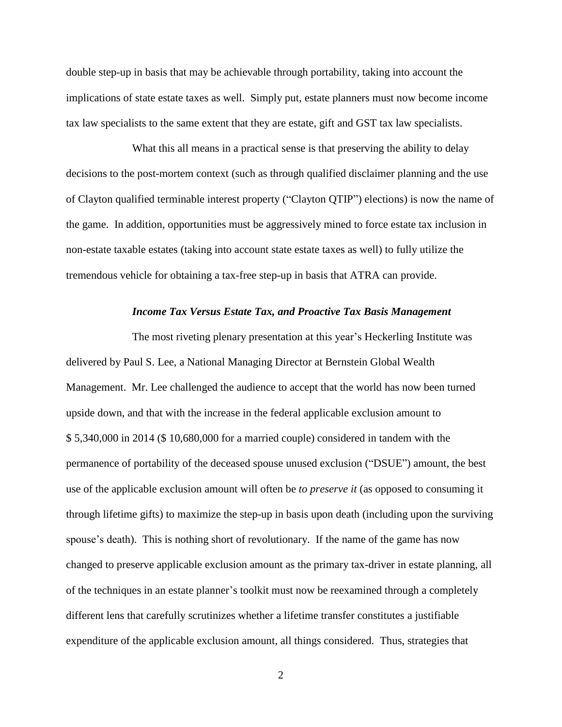double step-up in basis that may be achievable through portability, taking into account the implications of state estate taxes as well. Simply put, estate planners must now become income tax law specialists to the same extent that they are estate, gift and GST tax law specialists.

What this all means in a practical sense is that preserving the ability to delay decisions to the post-mortem context (such as through qualified disclaimer planning and the use of Clayton qualified terminable interest property ("Clayton QTIP") elections) is now the name of the game. In addition, opportunities must be aggressively mined to force estate tax inclusion in non-estate taxable estates (taking into account state estate taxes as well) to fully utilize the tremendous vehicle for obtaining a tax-free step-up in basis that ATRA can provide.

### *Income Tax Versus Estate Tax, and Proactive Tax Basis Management*

The most riveting plenary presentation at this year's Heckerling Institute was delivered by Paul S. Lee, a National Managing Director at Bernstein Global Wealth Management. Mr. Lee challenged the audience to accept that the world has now been turned upside down, and that with the increase in the federal applicable exclusion amount to \$ 5,340,000 in 2014 (\$ 10,680,000 for a married couple) considered in tandem with the permanence of portability of the deceased spouse unused exclusion ("DSUE") amount, the best use of the applicable exclusion amount will often be *to preserve it* (as opposed to consuming it through lifetime gifts) to maximize the step-up in basis upon death (including upon the surviving spouse's death). This is nothing short of revolutionary. If the name of the game has now changed to preserve applicable exclusion amount as the primary tax-driver in estate planning, all of the techniques in an estate planner's toolkit must now be reexamined through a completely different lens that carefully scrutinizes whether a lifetime transfer constitutes a justifiable expenditure of the applicable exclusion amount, all things considered. Thus, strategies that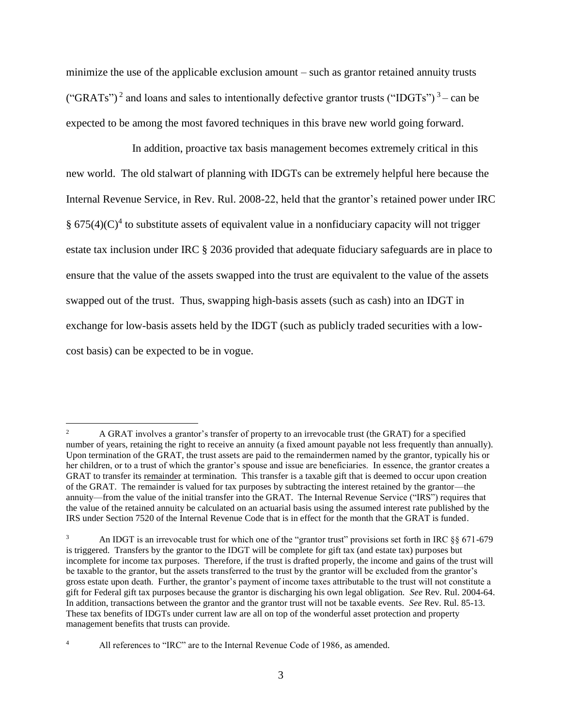minimize the use of the applicable exclusion amount – such as grantor retained annuity trusts ("GRATs")<sup>2</sup> and loans and sales to intentionally defective grantor trusts ("IDGTs")<sup>3</sup> – can be expected to be among the most favored techniques in this brave new world going forward.

In addition, proactive tax basis management becomes extremely critical in this new world. The old stalwart of planning with IDGTs can be extremely helpful here because the Internal Revenue Service, in Rev. Rul. 2008-22, held that the grantor's retained power under IRC §  $675(4)(C)^4$  to substitute assets of equivalent value in a nonfiduciary capacity will not trigger estate tax inclusion under IRC § 2036 provided that adequate fiduciary safeguards are in place to ensure that the value of the assets swapped into the trust are equivalent to the value of the assets swapped out of the trust. Thus, swapping high-basis assets (such as cash) into an IDGT in exchange for low-basis assets held by the IDGT (such as publicly traded securities with a lowcost basis) can be expected to be in vogue.

 $\overline{a}$ 

<sup>2</sup> A GRAT involves a grantor's transfer of property to an irrevocable trust (the GRAT) for a specified number of years, retaining the right to receive an annuity (a fixed amount payable not less frequently than annually). Upon termination of the GRAT, the trust assets are paid to the remaindermen named by the grantor, typically his or her children, or to a trust of which the grantor's spouse and issue are beneficiaries. In essence, the grantor creates a GRAT to transfer its remainder at termination. This transfer is a taxable gift that is deemed to occur upon creation of the GRAT. The remainder is valued for tax purposes by subtracting the interest retained by the grantor—the annuity—from the value of the initial transfer into the GRAT. The Internal Revenue Service ("IRS") requires that the value of the retained annuity be calculated on an actuarial basis using the assumed interest rate published by the IRS under Section 7520 of the Internal Revenue Code that is in effect for the month that the GRAT is funded.

<sup>3</sup> An IDGT is an irrevocable trust for which one of the "grantor trust" provisions set forth in IRC §§ 671-679 is triggered. Transfers by the grantor to the IDGT will be complete for gift tax (and estate tax) purposes but incomplete for income tax purposes. Therefore, if the trust is drafted properly, the income and gains of the trust will be taxable to the grantor, but the assets transferred to the trust by the grantor will be excluded from the grantor's gross estate upon death. Further, the grantor's payment of income taxes attributable to the trust will not constitute a gift for Federal gift tax purposes because the grantor is discharging his own legal obligation. *See* Rev. Rul. 2004-64. In addition, transactions between the grantor and the grantor trust will not be taxable events. *See* Rev. Rul. 85-13. These tax benefits of IDGTs under current law are all on top of the wonderful asset protection and property management benefits that trusts can provide.

<sup>4</sup> All references to "IRC" are to the Internal Revenue Code of 1986, as amended.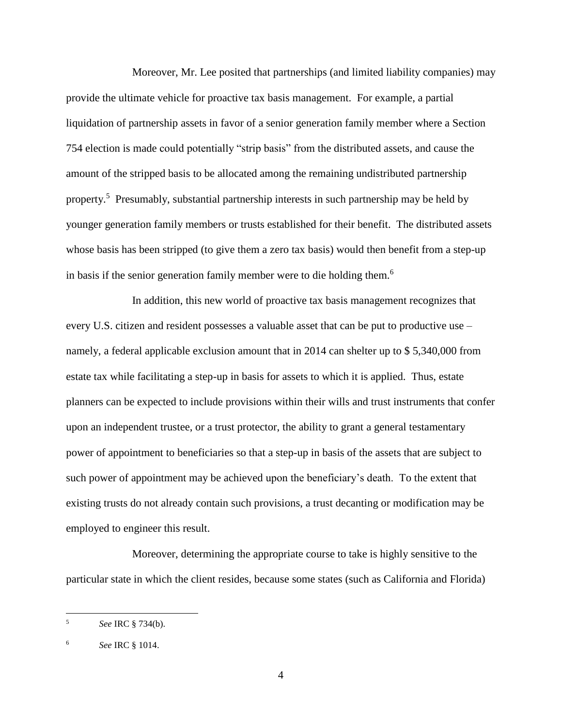Moreover, Mr. Lee posited that partnerships (and limited liability companies) may provide the ultimate vehicle for proactive tax basis management. For example, a partial liquidation of partnership assets in favor of a senior generation family member where a Section 754 election is made could potentially "strip basis" from the distributed assets, and cause the amount of the stripped basis to be allocated among the remaining undistributed partnership property.<sup>5</sup> Presumably, substantial partnership interests in such partnership may be held by younger generation family members or trusts established for their benefit. The distributed assets whose basis has been stripped (to give them a zero tax basis) would then benefit from a step-up in basis if the senior generation family member were to die holding them.<sup>6</sup>

In addition, this new world of proactive tax basis management recognizes that every U.S. citizen and resident possesses a valuable asset that can be put to productive use – namely, a federal applicable exclusion amount that in 2014 can shelter up to \$ 5,340,000 from estate tax while facilitating a step-up in basis for assets to which it is applied. Thus, estate planners can be expected to include provisions within their wills and trust instruments that confer upon an independent trustee, or a trust protector, the ability to grant a general testamentary power of appointment to beneficiaries so that a step-up in basis of the assets that are subject to such power of appointment may be achieved upon the beneficiary's death. To the extent that existing trusts do not already contain such provisions, a trust decanting or modification may be employed to engineer this result.

Moreover, determining the appropriate course to take is highly sensitive to the particular state in which the client resides, because some states (such as California and Florida)

 5 *See* IRC § 734(b).

<sup>6</sup> *See* IRC § 1014.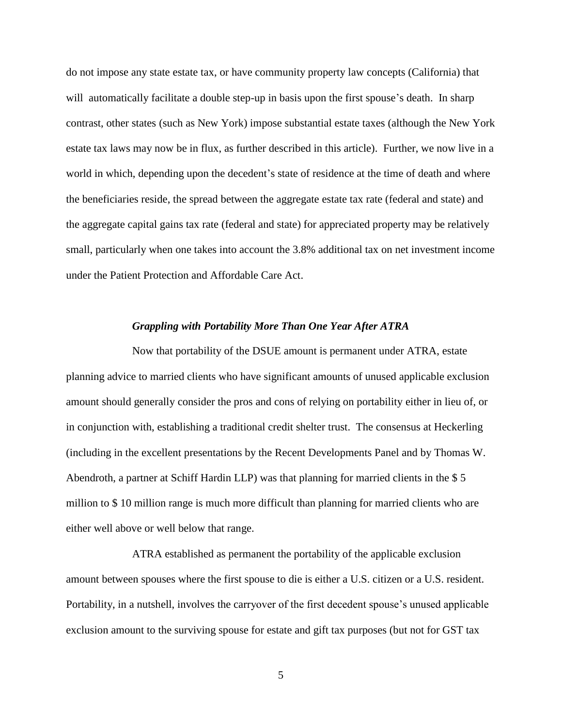do not impose any state estate tax, or have community property law concepts (California) that will automatically facilitate a double step-up in basis upon the first spouse's death. In sharp contrast, other states (such as New York) impose substantial estate taxes (although the New York estate tax laws may now be in flux, as further described in this article). Further, we now live in a world in which, depending upon the decedent's state of residence at the time of death and where the beneficiaries reside, the spread between the aggregate estate tax rate (federal and state) and the aggregate capital gains tax rate (federal and state) for appreciated property may be relatively small, particularly when one takes into account the 3.8% additional tax on net investment income under the Patient Protection and Affordable Care Act.

#### *Grappling with Portability More Than One Year After ATRA*

Now that portability of the DSUE amount is permanent under ATRA, estate planning advice to married clients who have significant amounts of unused applicable exclusion amount should generally consider the pros and cons of relying on portability either in lieu of, or in conjunction with, establishing a traditional credit shelter trust. The consensus at Heckerling (including in the excellent presentations by the Recent Developments Panel and by Thomas W. Abendroth, a partner at Schiff Hardin LLP) was that planning for married clients in the \$ 5 million to \$ 10 million range is much more difficult than planning for married clients who are either well above or well below that range.

ATRA established as permanent the portability of the applicable exclusion amount between spouses where the first spouse to die is either a U.S. citizen or a U.S. resident. Portability, in a nutshell, involves the carryover of the first decedent spouse's unused applicable exclusion amount to the surviving spouse for estate and gift tax purposes (but not for GST tax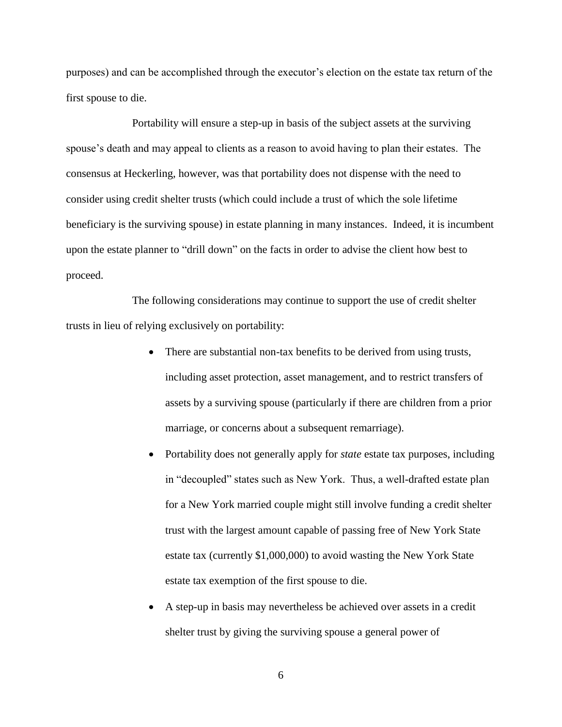purposes) and can be accomplished through the executor's election on the estate tax return of the first spouse to die.

Portability will ensure a step-up in basis of the subject assets at the surviving spouse's death and may appeal to clients as a reason to avoid having to plan their estates. The consensus at Heckerling, however, was that portability does not dispense with the need to consider using credit shelter trusts (which could include a trust of which the sole lifetime beneficiary is the surviving spouse) in estate planning in many instances. Indeed, it is incumbent upon the estate planner to "drill down" on the facts in order to advise the client how best to proceed.

The following considerations may continue to support the use of credit shelter trusts in lieu of relying exclusively on portability:

- There are substantial non-tax benefits to be derived from using trusts, including asset protection, asset management, and to restrict transfers of assets by a surviving spouse (particularly if there are children from a prior marriage, or concerns about a subsequent remarriage).
- Portability does not generally apply for *state* estate tax purposes, including in "decoupled" states such as New York. Thus, a well-drafted estate plan for a New York married couple might still involve funding a credit shelter trust with the largest amount capable of passing free of New York State estate tax (currently \$1,000,000) to avoid wasting the New York State estate tax exemption of the first spouse to die.
- A step-up in basis may nevertheless be achieved over assets in a credit shelter trust by giving the surviving spouse a general power of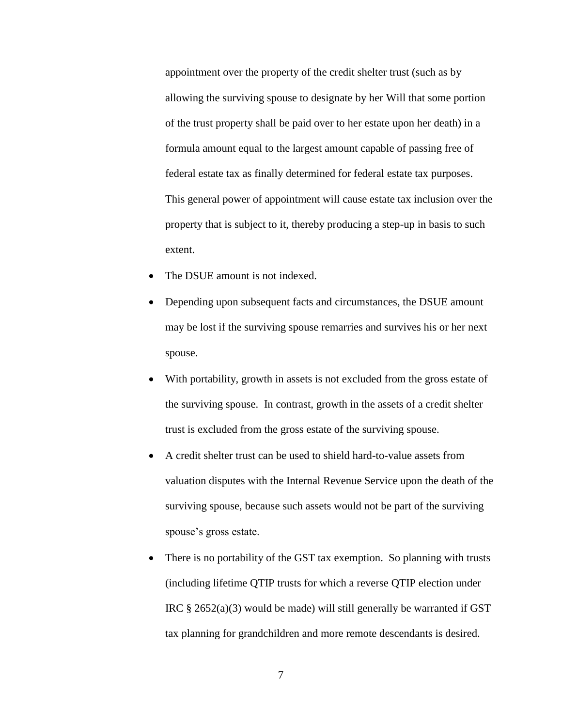appointment over the property of the credit shelter trust (such as by allowing the surviving spouse to designate by her Will that some portion of the trust property shall be paid over to her estate upon her death) in a formula amount equal to the largest amount capable of passing free of federal estate tax as finally determined for federal estate tax purposes. This general power of appointment will cause estate tax inclusion over the property that is subject to it, thereby producing a step-up in basis to such extent.

- The DSUE amount is not indexed.
- Depending upon subsequent facts and circumstances, the DSUE amount may be lost if the surviving spouse remarries and survives his or her next spouse.
- With portability, growth in assets is not excluded from the gross estate of the surviving spouse. In contrast, growth in the assets of a credit shelter trust is excluded from the gross estate of the surviving spouse.
- A credit shelter trust can be used to shield hard-to-value assets from valuation disputes with the Internal Revenue Service upon the death of the surviving spouse, because such assets would not be part of the surviving spouse's gross estate.
- There is no portability of the GST tax exemption. So planning with trusts (including lifetime QTIP trusts for which a reverse QTIP election under IRC § 2652(a)(3) would be made) will still generally be warranted if GST tax planning for grandchildren and more remote descendants is desired.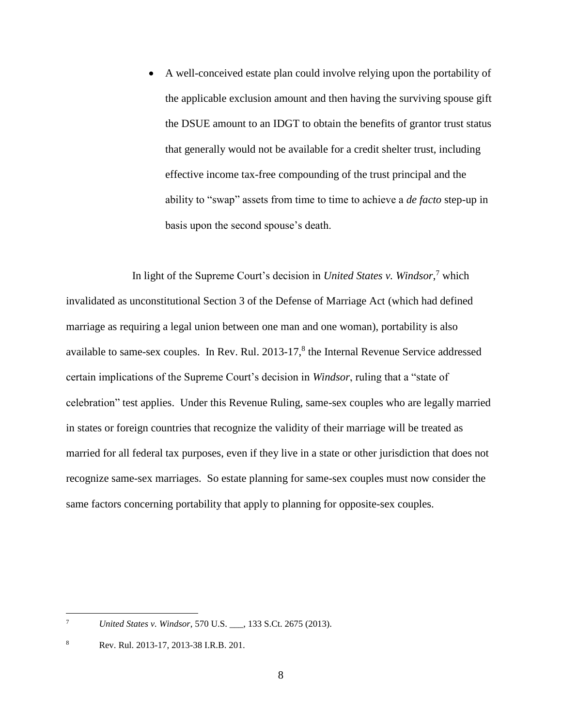A well-conceived estate plan could involve relying upon the portability of the applicable exclusion amount and then having the surviving spouse gift the DSUE amount to an IDGT to obtain the benefits of grantor trust status that generally would not be available for a credit shelter trust, including effective income tax-free compounding of the trust principal and the ability to "swap" assets from time to time to achieve a *de facto* step-up in basis upon the second spouse's death.

In light of the Supreme Court's decision in *United States v. Windsor*, <sup>7</sup> which invalidated as unconstitutional Section 3 of the Defense of Marriage Act (which had defined marriage as requiring a legal union between one man and one woman), portability is also available to same-sex couples. In Rev. Rul. 2013-17,<sup>8</sup> the Internal Revenue Service addressed certain implications of the Supreme Court's decision in *Windsor*, ruling that a "state of celebration" test applies. Under this Revenue Ruling, same-sex couples who are legally married in states or foreign countries that recognize the validity of their marriage will be treated as married for all federal tax purposes, even if they live in a state or other jurisdiction that does not recognize same-sex marriages. So estate planning for same-sex couples must now consider the same factors concerning portability that apply to planning for opposite-sex couples.

<sup>-&</sup>lt;br>7 *United States v. Windsor*, 570 U.S. \_\_\_, 133 S.Ct. 2675 (2013).

<sup>8</sup> Rev. Rul. 2013-17, 2013-38 I.R.B. 201.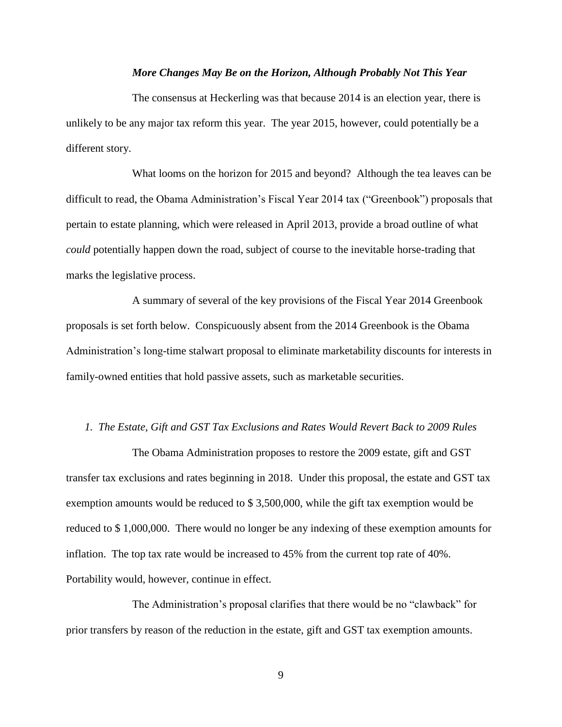## *More Changes May Be on the Horizon, Although Probably Not This Year*

The consensus at Heckerling was that because 2014 is an election year, there is unlikely to be any major tax reform this year. The year 2015, however, could potentially be a different story.

What looms on the horizon for 2015 and beyond? Although the tea leaves can be difficult to read, the Obama Administration's Fiscal Year 2014 tax ("Greenbook") proposals that pertain to estate planning, which were released in April 2013, provide a broad outline of what *could* potentially happen down the road, subject of course to the inevitable horse-trading that marks the legislative process.

A summary of several of the key provisions of the Fiscal Year 2014 Greenbook proposals is set forth below. Conspicuously absent from the 2014 Greenbook is the Obama Administration's long-time stalwart proposal to eliminate marketability discounts for interests in family-owned entities that hold passive assets, such as marketable securities.

#### *1. The Estate, Gift and GST Tax Exclusions and Rates Would Revert Back to 2009 Rules*

The Obama Administration proposes to restore the 2009 estate, gift and GST transfer tax exclusions and rates beginning in 2018. Under this proposal, the estate and GST tax exemption amounts would be reduced to \$ 3,500,000, while the gift tax exemption would be reduced to \$ 1,000,000. There would no longer be any indexing of these exemption amounts for inflation. The top tax rate would be increased to 45% from the current top rate of 40%. Portability would, however, continue in effect.

The Administration's proposal clarifies that there would be no "clawback" for prior transfers by reason of the reduction in the estate, gift and GST tax exemption amounts.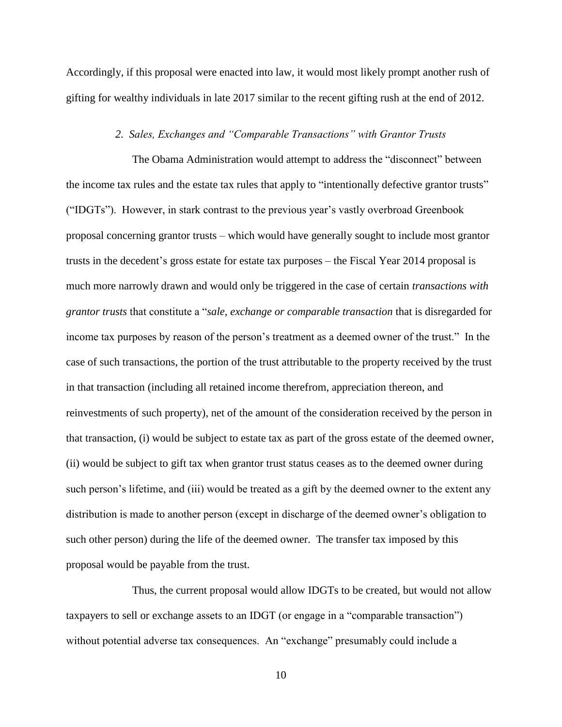Accordingly, if this proposal were enacted into law, it would most likely prompt another rush of gifting for wealthy individuals in late 2017 similar to the recent gifting rush at the end of 2012.

### *2. Sales, Exchanges and "Comparable Transactions" with Grantor Trusts*

The Obama Administration would attempt to address the "disconnect" between the income tax rules and the estate tax rules that apply to "intentionally defective grantor trusts" ("IDGTs"). However, in stark contrast to the previous year's vastly overbroad Greenbook proposal concerning grantor trusts – which would have generally sought to include most grantor trusts in the decedent's gross estate for estate tax purposes – the Fiscal Year 2014 proposal is much more narrowly drawn and would only be triggered in the case of certain *transactions with grantor trusts* that constitute a "*sale, exchange or comparable transaction* that is disregarded for income tax purposes by reason of the person's treatment as a deemed owner of the trust." In the case of such transactions, the portion of the trust attributable to the property received by the trust in that transaction (including all retained income therefrom, appreciation thereon, and reinvestments of such property), net of the amount of the consideration received by the person in that transaction, (i) would be subject to estate tax as part of the gross estate of the deemed owner, (ii) would be subject to gift tax when grantor trust status ceases as to the deemed owner during such person's lifetime, and (iii) would be treated as a gift by the deemed owner to the extent any distribution is made to another person (except in discharge of the deemed owner's obligation to such other person) during the life of the deemed owner. The transfer tax imposed by this proposal would be payable from the trust.

Thus, the current proposal would allow IDGTs to be created, but would not allow taxpayers to sell or exchange assets to an IDGT (or engage in a "comparable transaction") without potential adverse tax consequences. An "exchange" presumably could include a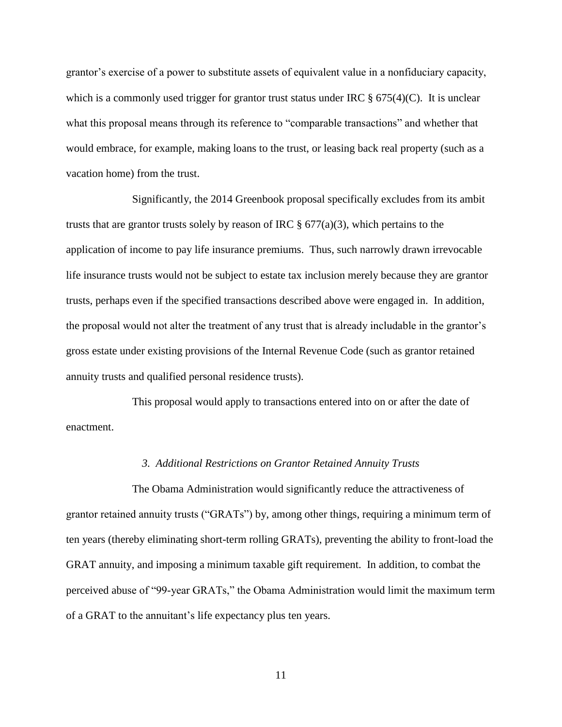grantor's exercise of a power to substitute assets of equivalent value in a nonfiduciary capacity, which is a commonly used trigger for grantor trust status under IRC  $\S 675(4)(C)$ . It is unclear what this proposal means through its reference to "comparable transactions" and whether that would embrace, for example, making loans to the trust, or leasing back real property (such as a vacation home) from the trust.

Significantly, the 2014 Greenbook proposal specifically excludes from its ambit trusts that are grantor trusts solely by reason of IRC  $\S$  677(a)(3), which pertains to the application of income to pay life insurance premiums. Thus, such narrowly drawn irrevocable life insurance trusts would not be subject to estate tax inclusion merely because they are grantor trusts, perhaps even if the specified transactions described above were engaged in. In addition, the proposal would not alter the treatment of any trust that is already includable in the grantor's gross estate under existing provisions of the Internal Revenue Code (such as grantor retained annuity trusts and qualified personal residence trusts).

This proposal would apply to transactions entered into on or after the date of enactment.

#### *3. Additional Restrictions on Grantor Retained Annuity Trusts*

The Obama Administration would significantly reduce the attractiveness of grantor retained annuity trusts ("GRATs") by, among other things, requiring a minimum term of ten years (thereby eliminating short-term rolling GRATs), preventing the ability to front-load the GRAT annuity, and imposing a minimum taxable gift requirement. In addition, to combat the perceived abuse of "99-year GRATs," the Obama Administration would limit the maximum term of a GRAT to the annuitant's life expectancy plus ten years.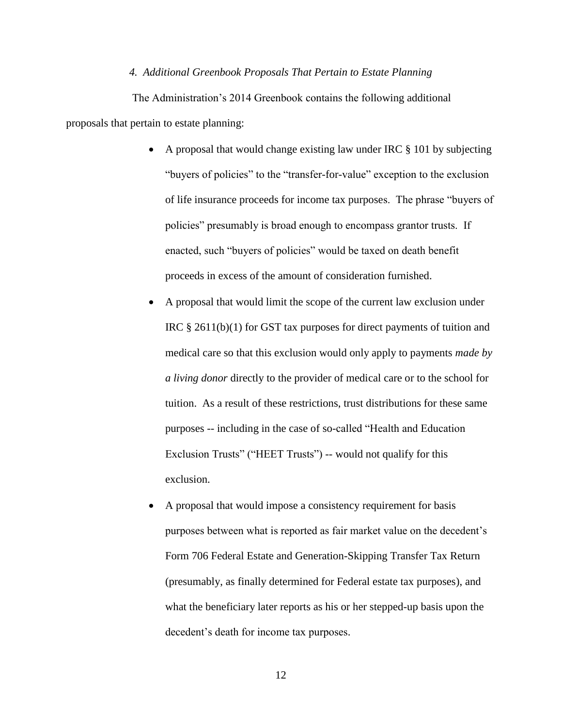## *4. Additional Greenbook Proposals That Pertain to Estate Planning*

The Administration's 2014 Greenbook contains the following additional proposals that pertain to estate planning:

- A proposal that would change existing law under IRC § 101 by subjecting "buyers of policies" to the "transfer-for-value" exception to the exclusion of life insurance proceeds for income tax purposes. The phrase "buyers of policies" presumably is broad enough to encompass grantor trusts. If enacted, such "buyers of policies" would be taxed on death benefit proceeds in excess of the amount of consideration furnished.
- A proposal that would limit the scope of the current law exclusion under IRC § 2611(b)(1) for GST tax purposes for direct payments of tuition and medical care so that this exclusion would only apply to payments *made by a living donor* directly to the provider of medical care or to the school for tuition. As a result of these restrictions, trust distributions for these same purposes -- including in the case of so-called "Health and Education Exclusion Trusts" ("HEET Trusts") -- would not qualify for this exclusion.
- A proposal that would impose a consistency requirement for basis purposes between what is reported as fair market value on the decedent's Form 706 Federal Estate and Generation-Skipping Transfer Tax Return (presumably, as finally determined for Federal estate tax purposes), and what the beneficiary later reports as his or her stepped-up basis upon the decedent's death for income tax purposes.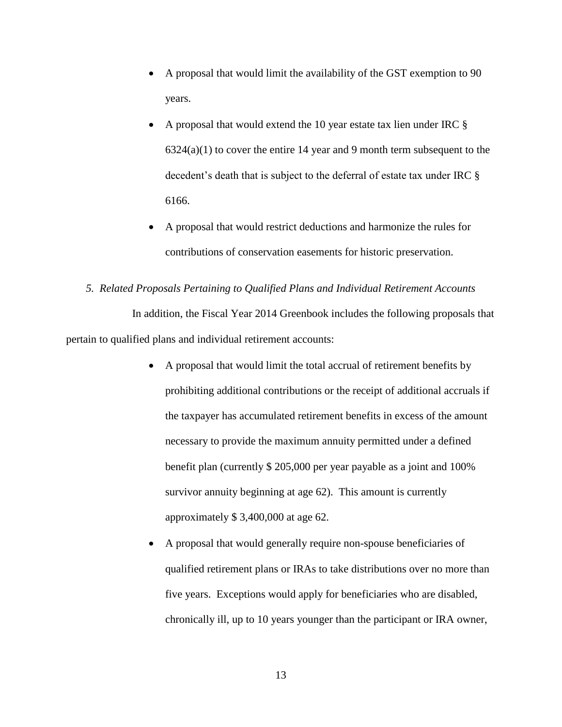- A proposal that would limit the availability of the GST exemption to 90 years.
- A proposal that would extend the 10 year estate tax lien under IRC §  $6324(a)(1)$  to cover the entire 14 year and 9 month term subsequent to the decedent's death that is subject to the deferral of estate tax under IRC § 6166.
- A proposal that would restrict deductions and harmonize the rules for contributions of conservation easements for historic preservation.
- *5. Related Proposals Pertaining to Qualified Plans and Individual Retirement Accounts* In addition, the Fiscal Year 2014 Greenbook includes the following proposals that pertain to qualified plans and individual retirement accounts:
	- A proposal that would limit the total accrual of retirement benefits by prohibiting additional contributions or the receipt of additional accruals if the taxpayer has accumulated retirement benefits in excess of the amount necessary to provide the maximum annuity permitted under a defined benefit plan (currently \$ 205,000 per year payable as a joint and 100% survivor annuity beginning at age 62). This amount is currently approximately \$ 3,400,000 at age 62.
	- A proposal that would generally require non-spouse beneficiaries of qualified retirement plans or IRAs to take distributions over no more than five years. Exceptions would apply for beneficiaries who are disabled, chronically ill, up to 10 years younger than the participant or IRA owner,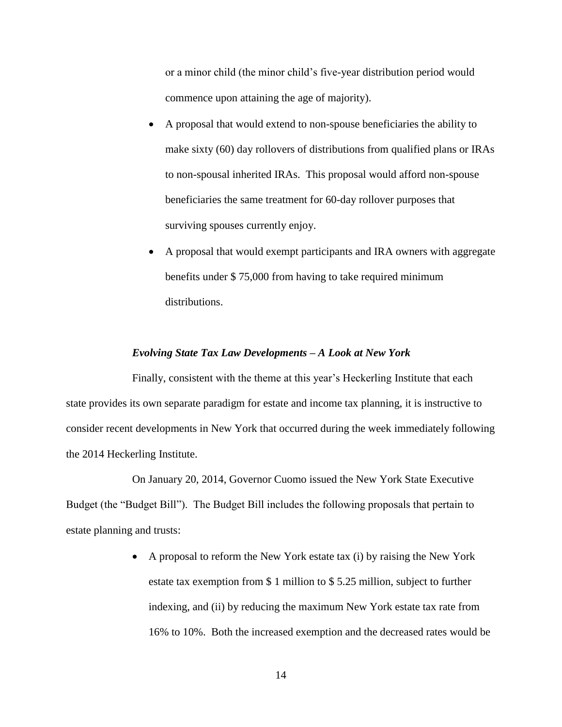or a minor child (the minor child's five-year distribution period would commence upon attaining the age of majority).

- A proposal that would extend to non-spouse beneficiaries the ability to make sixty (60) day rollovers of distributions from qualified plans or IRAs to non-spousal inherited IRAs. This proposal would afford non-spouse beneficiaries the same treatment for 60-day rollover purposes that surviving spouses currently enjoy.
- A proposal that would exempt participants and IRA owners with aggregate benefits under \$ 75,000 from having to take required minimum distributions.

### *Evolving State Tax Law Developments – A Look at New York*

Finally, consistent with the theme at this year's Heckerling Institute that each state provides its own separate paradigm for estate and income tax planning, it is instructive to consider recent developments in New York that occurred during the week immediately following the 2014 Heckerling Institute.

On January 20, 2014, Governor Cuomo issued the New York State Executive Budget (the "Budget Bill"). The Budget Bill includes the following proposals that pertain to estate planning and trusts:

> A proposal to reform the New York estate tax (i) by raising the New York estate tax exemption from \$ 1 million to \$ 5.25 million, subject to further indexing, and (ii) by reducing the maximum New York estate tax rate from 16% to 10%. Both the increased exemption and the decreased rates would be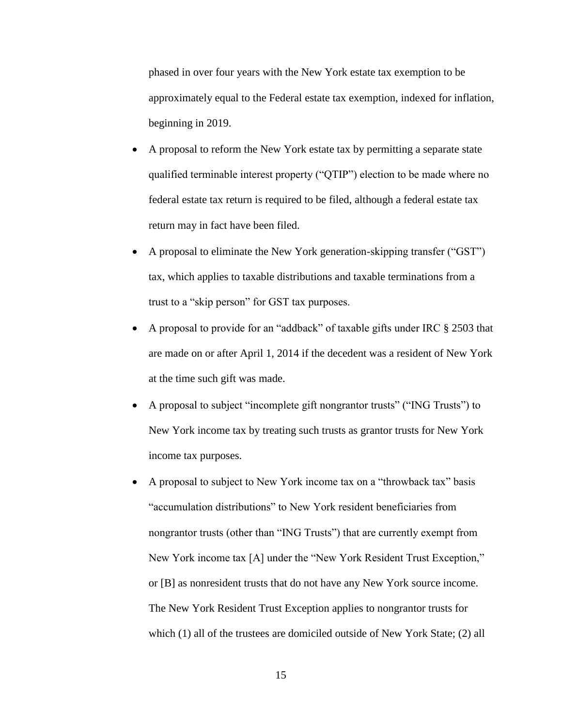phased in over four years with the New York estate tax exemption to be approximately equal to the Federal estate tax exemption, indexed for inflation, beginning in 2019.

- A proposal to reform the New York estate tax by permitting a separate state qualified terminable interest property ("QTIP") election to be made where no federal estate tax return is required to be filed, although a federal estate tax return may in fact have been filed.
- A proposal to eliminate the New York generation-skipping transfer ("GST") tax, which applies to taxable distributions and taxable terminations from a trust to a "skip person" for GST tax purposes.
- A proposal to provide for an "addback" of taxable gifts under IRC § 2503 that are made on or after April 1, 2014 if the decedent was a resident of New York at the time such gift was made.
- A proposal to subject "incomplete gift nongrantor trusts" ("ING Trusts") to New York income tax by treating such trusts as grantor trusts for New York income tax purposes.
- A proposal to subject to New York income tax on a "throwback tax" basis "accumulation distributions" to New York resident beneficiaries from nongrantor trusts (other than "ING Trusts") that are currently exempt from New York income tax [A] under the "New York Resident Trust Exception," or [B] as nonresident trusts that do not have any New York source income. The New York Resident Trust Exception applies to nongrantor trusts for which (1) all of the trustees are domiciled outside of New York State; (2) all